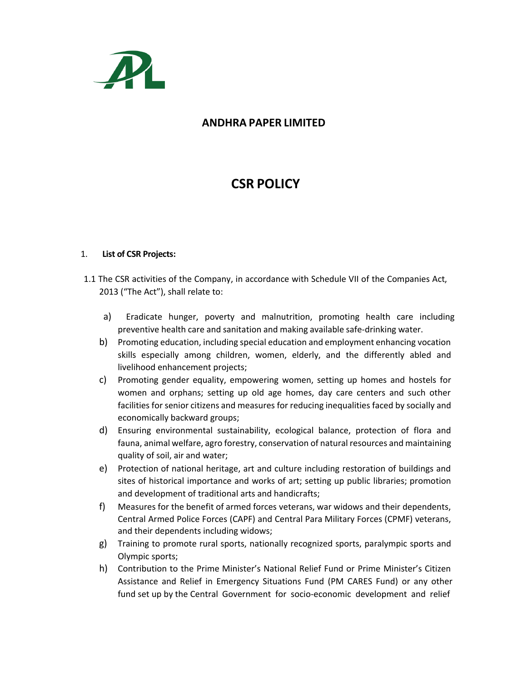

# **ANDHRA PAPER LIMITED**

# **CSR POLICY**

#### 1. **List of CSR Projects:**

- 1.1 The CSR activities of the Company, in accordance with Schedule VII of the Companies Act, 2013 ("The Act"), shall relate to:
	- a) Eradicate hunger, poverty and malnutrition, promoting health care including preventive health care and sanitation and making available safe-drinking water.
	- b) Promoting education, including special education and employment enhancing vocation skills especially among children, women, elderly, and the differently abled and livelihood enhancement projects;
	- c) Promoting gender equality, empowering women, setting up homes and hostels for women and orphans; setting up old age homes, day care centers and such other facilities for senior citizens and measures for reducing inequalities faced by socially and economically backward groups;
	- d) Ensuring environmental sustainability, ecological balance, protection of flora and fauna, animal welfare, agro forestry, conservation of natural resources and maintaining quality of soil, air and water;
	- e) Protection of national heritage, art and culture including restoration of buildings and sites of historical importance and works of art; setting up public libraries; promotion and development of traditional arts and handicrafts;
	- f) Measures for the benefit of armed forces veterans, war widows and their dependents, Central Armed Police Forces (CAPF) and Central Para Military Forces (CPMF) veterans, and their dependents including widows;
	- g) Training to promote rural sports, nationally recognized sports, paralympic sports and Olympic sports;
	- h) Contribution to the Prime Minister's National Relief Fund or Prime Minister's Citizen Assistance and Relief in Emergency Situations Fund (PM CARES Fund) or any other fund set up by the Central Government for socio-economic development and relief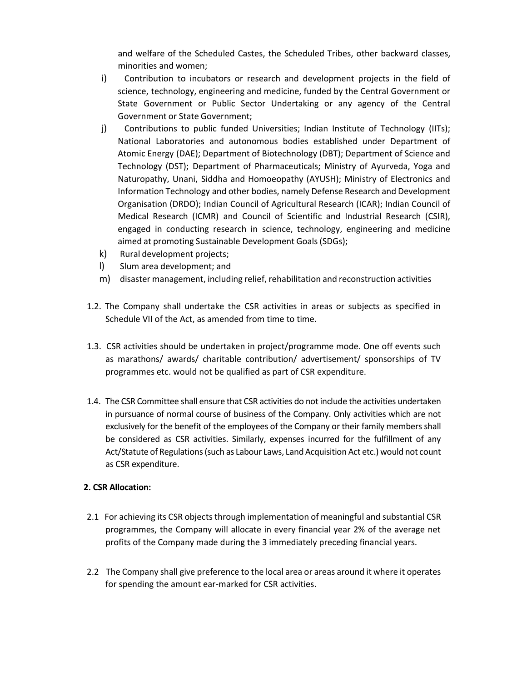and welfare of the Scheduled Castes, the Scheduled Tribes, other backward classes, minorities and women;

- i) Contribution to incubators or research and development projects in the field of science, technology, engineering and medicine, funded by the Central Government or State Government or Public Sector Undertaking or any agency of the Central Government or State Government;
- j) Contributions to public funded Universities; Indian Institute of Technology (IITs); National Laboratories and autonomous bodies established under Department of Atomic Energy (DAE); Department of Biotechnology (DBT); Department of Science and Technology (DST); Department of Pharmaceuticals; Ministry of Ayurveda, Yoga and Naturopathy, Unani, Siddha and Homoeopathy (AYUSH); Ministry of Electronics and Information Technology and other bodies, namely Defense Research and Development Organisation (DRDO); Indian Council of Agricultural Research (ICAR); Indian Council of Medical Research (ICMR) and Council of Scientific and Industrial Research (CSIR), engaged in conducting research in science, technology, engineering and medicine aimed at promoting Sustainable Development Goals (SDGs);
- k) Rural development projects;
- l) Slum area development; and
- m) disaster management, including relief, rehabilitation and reconstruction activities
- 1.2. The Company shall undertake the CSR activities in areas or subjects as specified in Schedule VII of the Act, as amended from time to time.
- 1.3. CSR activities should be undertaken in project/programme mode. One off events such as marathons/ awards/ charitable contribution/ advertisement/ sponsorships of TV programmes etc. would not be qualified as part of CSR expenditure.
- 1.4. The CSR Committee shall ensure that CSR activities do not include the activities undertaken in pursuance of normal course of business of the Company. Only activities which are not exclusively for the benefit of the employees of the Company or their family members shall be considered as CSR activities. Similarly, expenses incurred for the fulfillment of any Act/Statute of Regulations (such as Labour Laws, Land Acquisition Act etc.) would not count as CSR expenditure.

#### **2. CSR Allocation:**

- 2.1 For achieving its CSR objects through implementation of meaningful and substantial CSR programmes, the Company will allocate in every financial year 2% of the average net profits of the Company made during the 3 immediately preceding financial years.
- 2.2 The Company shall give preference to the local area or areas around it where it operates for spending the amount ear-marked for CSR activities.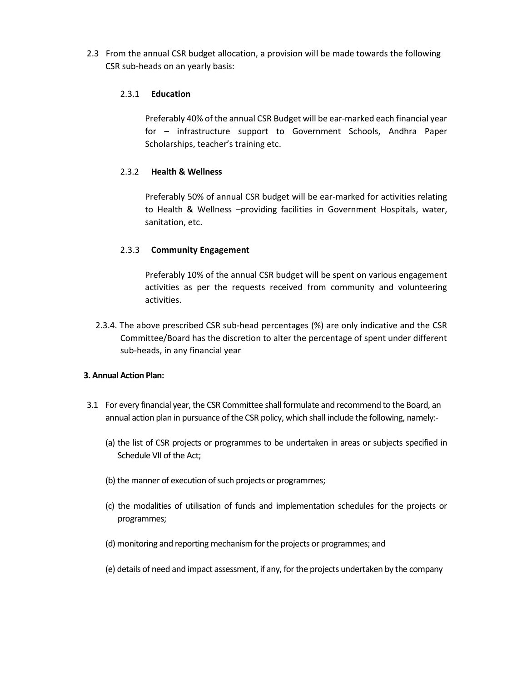2.3 From the annual CSR budget allocation, a provision will be made towards the following CSR sub-heads on an yearly basis:

## 2.3.1 **Education**

Preferably 40% of the annual CSR Budget will be ear-marked each financial year for – infrastructure support to Government Schools, Andhra Paper Scholarships, teacher's training etc.

# 2.3.2 **Health & Wellness**

Preferably 50% of annual CSR budget will be ear-marked for activities relating to Health & Wellness –providing facilities in Government Hospitals, water, sanitation, etc.

# 2.3.3 **Community Engagement**

Preferably 10% of the annual CSR budget will be spent on various engagement activities as per the requests received from community and volunteering activities.

2.3.4. The above prescribed CSR sub-head percentages (%) are only indicative and the CSR Committee/Board has the discretion to alter the percentage of spent under different sub-heads, in any financial year

#### **3. Annual Action Plan:**

- 3.1 For every financial year, the CSR Committee shall formulate and recommend to the Board, an annual action plan in pursuance of the CSR policy, which shall include the following, namely:-
	- (a) the list of CSR projects or programmes to be undertaken in areas or subjects specified in Schedule VII of the Act;
	- (b) the manner of execution of such projects or programmes;
	- (c) the modalities of utilisation of funds and implementation schedules for the projects or programmes;
	- (d) monitoring and reporting mechanism for the projects or programmes; and
	- (e) details of need and impact assessment, if any, for the projects undertaken by the company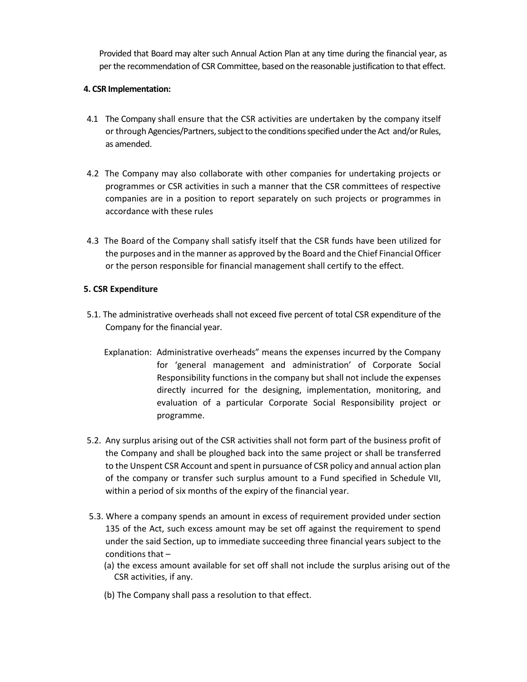Provided that Board may alter such Annual Action Plan at any time during the financial year, as per the recommendation of CSR Committee, based on the reasonable justification to that effect.

# **4. CSR Implementation:**

- 4.1 The Company shall ensure that the CSR activities are undertaken by the company itself or through Agencies/Partners, subject to the conditions specified under the Act and/or Rules, as amended.
- 4.2 The Company may also collaborate with other companies for undertaking projects or programmes or CSR activities in such a manner that the CSR committees of respective companies are in a position to report separately on such projects or programmes in accordance with these rules
- 4.3 The Board of the Company shall satisfy itself that the CSR funds have been utilized for the purposes and in the manner as approved by the Board and the Chief Financial Officer or the person responsible for financial management shall certify to the effect.

# **5. CSR Expenditure**

- 5.1. The administrative overheads shall not exceed five percent of total CSR expenditure of the Company for the financial year.
	- Explanation: Administrative overheads" means the expenses incurred by the Company for 'general management and administration' of Corporate Social Responsibility functions in the company but shall not include the expenses directly incurred for the designing, implementation, monitoring, and evaluation of a particular Corporate Social Responsibility project or programme.
- 5.2. Any surplus arising out of the CSR activities shall not form part of the business profit of the Company and shall be ploughed back into the same project or shall be transferred to the Unspent CSR Account and spent in pursuance of CSR policy and annual action plan of the company or transfer such surplus amount to a Fund specified in Schedule VII, within a period of six months of the expiry of the financial year.
- 5.3. Where a company spends an amount in excess of requirement provided under section 135 of the Act, such excess amount may be set off against the requirement to spend under the said Section, up to immediate succeeding three financial years subject to the conditions that –
	- (a) the excess amount available for set off shall not include the surplus arising out of the CSR activities, if any.
	- (b) The Company shall pass a resolution to that effect.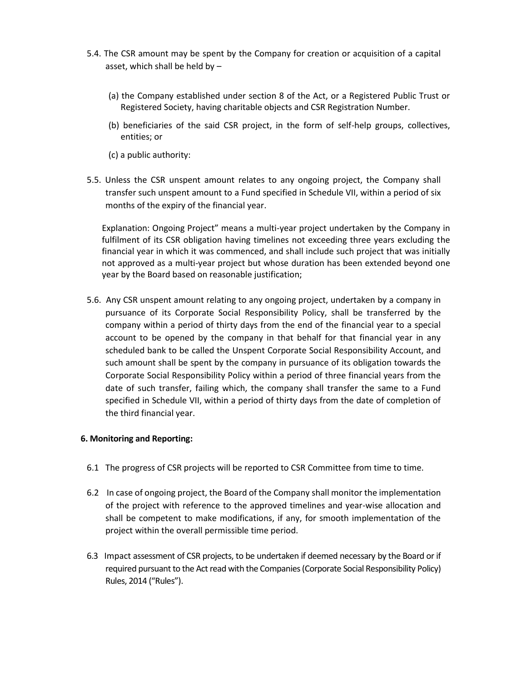- 5.4. The CSR amount may be spent by the Company for creation or acquisition of a capital asset, which shall be held by –
	- (a) the Company established under section 8 of the Act, or a Registered Public Trust or Registered Society, having charitable objects and CSR Registration Number.
	- (b) beneficiaries of the said CSR project, in the form of self-help groups, collectives, entities; or
	- (c) a public authority:
- 5.5. Unless the CSR unspent amount relates to any ongoing project, the Company shall transfer such unspent amount to a Fund specified in Schedule VII, within a period of six months of the expiry of the financial year.

Explanation: Ongoing Project" means a multi-year project undertaken by the Company in fulfilment of its CSR obligation having timelines not exceeding three years excluding the financial year in which it was commenced, and shall include such project that was initially not approved as a multi-year project but whose duration has been extended beyond one year by the Board based on reasonable justification;

5.6. Any CSR unspent amount relating to any ongoing project, undertaken by a company in pursuance of its Corporate Social Responsibility Policy, shall be transferred by the company within a period of thirty days from the end of the financial year to a special account to be opened by the company in that behalf for that financial year in any scheduled bank to be called the Unspent Corporate Social Responsibility Account, and such amount shall be spent by the company in pursuance of its obligation towards the Corporate Social Responsibility Policy within a period of three financial years from the date of such transfer, failing which, the company shall transfer the same to a Fund specified in Schedule VII, within a period of thirty days from the date of completion of the third financial year.

#### **6. Monitoring and Reporting:**

- 6.1 The progress of CSR projects will be reported to CSR Committee from time to time.
- 6.2 In case of ongoing project, the Board of the Company shall monitor the implementation of the project with reference to the approved timelines and year-wise allocation and shall be competent to make modifications, if any, for smooth implementation of the project within the overall permissible time period.
- 6.3 Impact assessment of CSR projects, to be undertaken if deemed necessary by the Board or if required pursuant to the Act read with the Companies (Corporate Social Responsibility Policy) Rules, 2014 ("Rules").